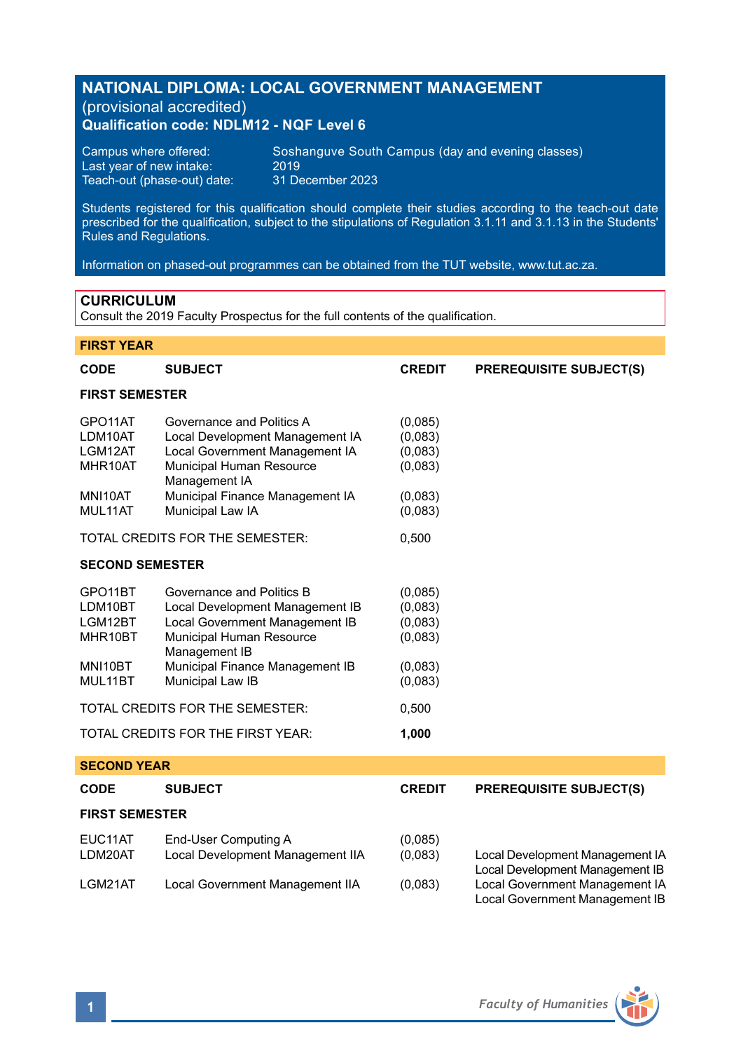# **NATIONAL DIPLOMA: LOCAL GOVERNMENT MANAGEMENT**  (provisional accredited) **Qualification code: NDLM12 - NQF Level 6**

Last year of new intake:  $2019$ <br>Teach-out (phase-out) date: 31 December 2023 Teach-out (phase-out) date:

Campus where offered: Soshanguve South Campus (day and evening classes)<br>Last vear of new intake: 2019

Students registered for this qualification should complete their studies according to the teach-out date prescribed for the qualification, subject to the stipulations of Regulation 3.1.11 and 3.1.13 in the Students' Rules and Regulations.

Information on phased-out programmes can be obtained from the TUT website, www.tut.ac.za.

# **CURRICULUM**

Consult the 2019 Faculty Prospectus for the full contents of the qualification.

| <b>FIRST YEAR</b>                                     |                                                                                                                                             |                                          |                                                                    |
|-------------------------------------------------------|---------------------------------------------------------------------------------------------------------------------------------------------|------------------------------------------|--------------------------------------------------------------------|
| <b>CODE</b>                                           | <b>SUBJECT</b>                                                                                                                              | <b>CREDIT</b>                            | <b>PREREQUISITE SUBJECT(S)</b>                                     |
| <b>FIRST SEMESTER</b>                                 |                                                                                                                                             |                                          |                                                                    |
| GPO <sub>11</sub> AT<br>LDM10AT<br>LGM12AT<br>MHR10AT | Governance and Politics A<br>Local Development Management IA<br>Local Government Management IA<br>Municipal Human Resource<br>Management IA | (0,085)<br>(0,083)<br>(0,083)<br>(0,083) |                                                                    |
| MNI10AT<br>MUL11AT                                    | Municipal Finance Management IA<br>Municipal Law IA                                                                                         | (0,083)<br>(0,083)                       |                                                                    |
|                                                       | TOTAL CREDITS FOR THE SEMESTER:                                                                                                             | 0,500                                    |                                                                    |
| <b>SECOND SEMESTER</b>                                |                                                                                                                                             |                                          |                                                                    |
| GPO11BT<br>LDM10BT<br>LGM12BT<br>MHR10BT              | Governance and Politics B<br>Local Development Management IB<br>Local Government Management IB<br>Municipal Human Resource<br>Management IB | (0,085)<br>(0,083)<br>(0,083)<br>(0,083) |                                                                    |
| MNI10BT<br>MUL11BT                                    | Municipal Finance Management IB<br>Municipal Law IB                                                                                         | (0,083)<br>(0,083)                       |                                                                    |
|                                                       | TOTAL CREDITS FOR THE SEMESTER:                                                                                                             | 0,500                                    |                                                                    |
|                                                       | TOTAL CREDITS FOR THE FIRST YEAR:                                                                                                           | 1,000                                    |                                                                    |
| <b>SECOND YEAR</b>                                    |                                                                                                                                             |                                          |                                                                    |
| <b>CODE</b>                                           | <b>SUBJECT</b>                                                                                                                              | <b>CREDIT</b>                            | <b>PREREQUISITE SUBJECT(S)</b>                                     |
| <b>FIRST SEMESTER</b>                                 |                                                                                                                                             |                                          |                                                                    |
| EUC11AT<br>LDM20AT                                    | End-User Computing A<br>Local Development Management IIA                                                                                    | (0,085)<br>(0,083)                       | Local Development Management IA<br>Local Development Management IB |
| LGM21AT                                               | Local Government Management IIA                                                                                                             | (0,083)                                  | Local Government Management IA<br>Local Government Management IB   |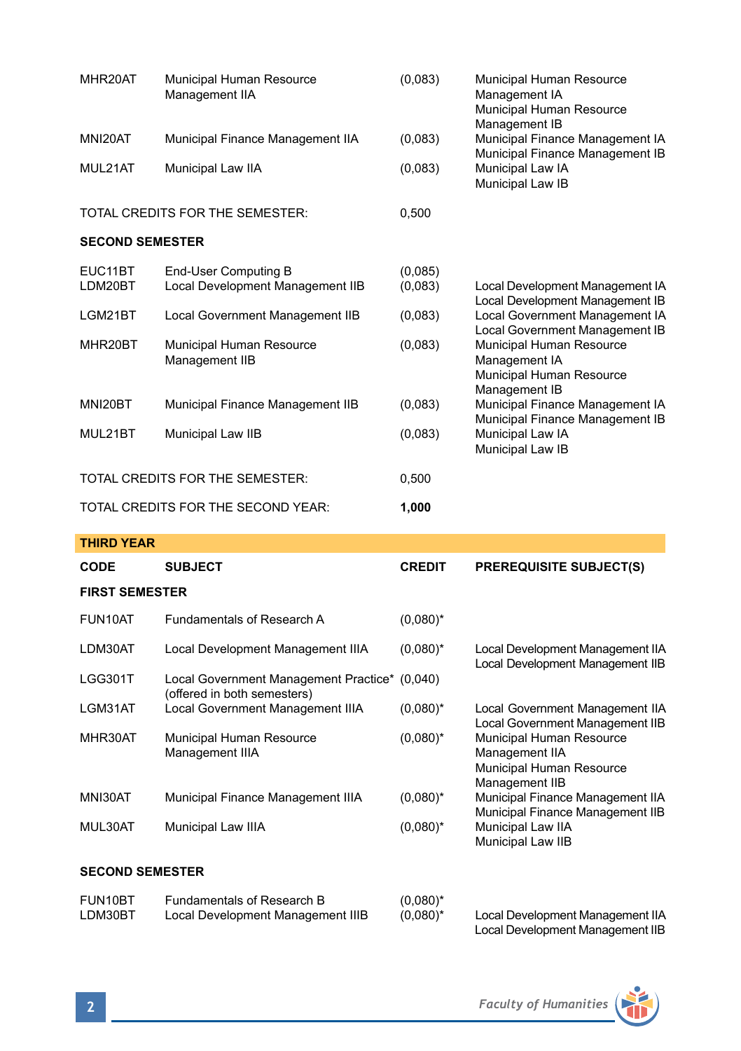| MHR20AT                | Municipal Human Resource<br>Management IIA               | (0,083)            | Municipal Human Resource<br>Management IA<br>Municipal Human Resource<br>Management IB              |
|------------------------|----------------------------------------------------------|--------------------|-----------------------------------------------------------------------------------------------------|
| MNI20AT                | Municipal Finance Management IIA                         | (0,083)            | Municipal Finance Management IA<br>Municipal Finance Management IB                                  |
| MUL21AT                | Municipal Law IIA                                        | (0,083)            | Municipal Law IA<br>Municipal Law IB                                                                |
|                        | TOTAL CREDITS FOR THE SEMESTER:                          | 0,500              |                                                                                                     |
| <b>SECOND SEMESTER</b> |                                                          |                    |                                                                                                     |
| EUC11BT<br>LDM20BT     | End-User Computing B<br>Local Development Management IIB | (0,085)<br>(0,083) | Local Development Management IA                                                                     |
| LGM21BT                | Local Government Management IIB                          | (0,083)            | Local Development Management IB<br>Local Government Management IA<br>Local Government Management IB |
| MHR20BT                | Municipal Human Resource<br>Management IIB               | (0,083)            | Municipal Human Resource<br>Management IA<br>Municipal Human Resource<br>Management IB              |
| MNI20BT                | Municipal Finance Management IIB                         | (0,083)            | Municipal Finance Management IA<br>Municipal Finance Management IB                                  |
| MUL21BT                | Municipal Law IIB                                        | (0,083)            | Municipal Law IA<br>Municipal Law IB                                                                |
|                        | TOTAL CREDITS FOR THE SEMESTER:                          | 0,500              |                                                                                                     |
|                        | TOTAL CREDITS FOR THE SECOND YEAR:                       | 1,000              |                                                                                                     |

| <b>THIRD YEAR</b>     |                                                                              |               |                                                                                          |
|-----------------------|------------------------------------------------------------------------------|---------------|------------------------------------------------------------------------------------------|
| <b>CODE</b>           | <b>SUBJECT</b>                                                               | <b>CREDIT</b> | <b>PREREQUISITE SUBJECT(S)</b>                                                           |
| <b>FIRST SEMESTER</b> |                                                                              |               |                                                                                          |
| FUN10AT               | Fundamentals of Research A                                                   | $(0.080)^*$   |                                                                                          |
| LDM30AT               | Local Development Management IIIA                                            | $(0.080)^*$   | Local Development Management IIA<br>Local Development Management IIB                     |
| LGG301T               | Local Government Management Practice* (0,040)<br>(offered in both semesters) |               |                                                                                          |
| LGM31AT               | Local Government Management IIIA                                             | $(0.080)^*$   | Local Government Management IIA<br>Local Government Management IIB                       |
| MHR30AT               | Municipal Human Resource<br>Management IIIA                                  | $(0,080)^*$   | Municipal Human Resource<br>Management IIA<br>Municipal Human Resource<br>Management IIB |
| MNI30AT               | Municipal Finance Management IIIA                                            | $(0,080)^*$   | Municipal Finance Management IIA<br>Municipal Finance Management IIB                     |
| MUL30AT               | Municipal Law IIIA                                                           | $(0,080)^*$   | Municipal Law IIA<br>Municipal Law IIB                                                   |

# **SECOND SEMESTER**

| FUN10BT | Fundamentals of Research B        | $(0.080)^*$ |                                  |
|---------|-----------------------------------|-------------|----------------------------------|
| LDM30BT | Local Development Management IIIB | $(0.080)^*$ | Local Development Management IIA |
|         |                                   |             | Local Development Management IIB |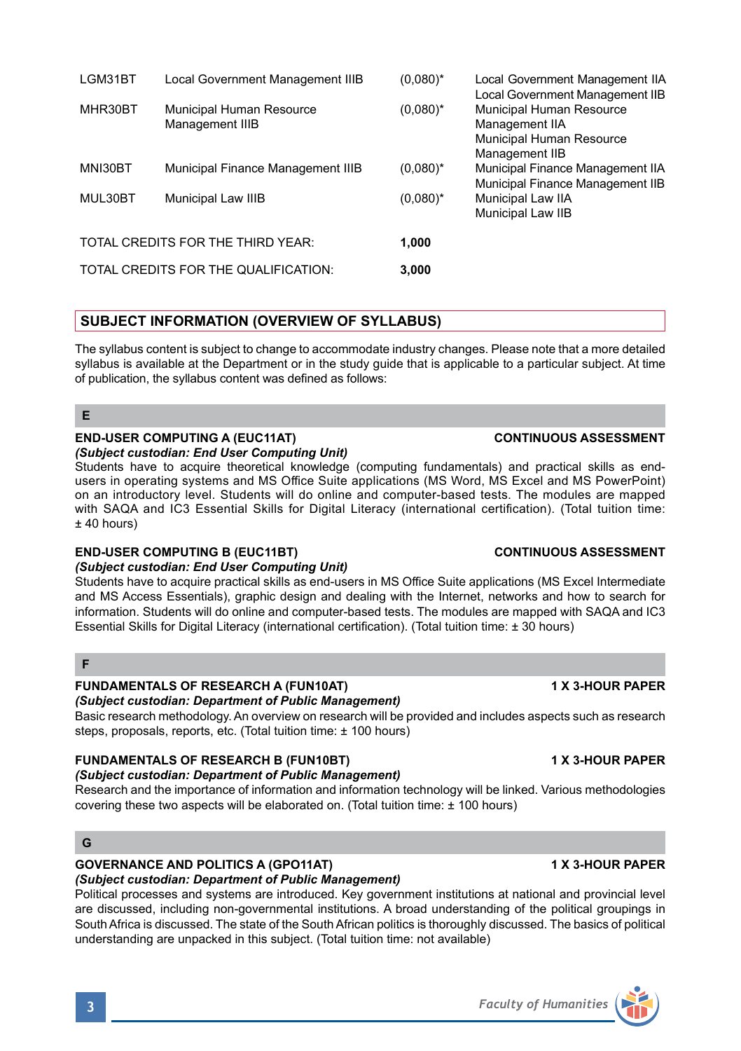|         |                                             |             | Local Government Management IIB                                                          |
|---------|---------------------------------------------|-------------|------------------------------------------------------------------------------------------|
| MHR30BT | Municipal Human Resource<br>Management IIIB | $(0.080)^*$ | Municipal Human Resource<br>Management IIA<br>Municipal Human Resource<br>Management IIB |
| MNI30BT | Municipal Finance Management IIIB           | $(0.080)^*$ | Municipal Finance Management IIA                                                         |
| MUL30BT | Municipal Law IIIB                          | $(0.080)^*$ | Municipal Finance Management IIB<br>Municipal Law IIA<br>Municipal Law IIB               |
|         | TOTAL CREDITS FOR THE THIRD YEAR:           | 1,000       |                                                                                          |
|         | TOTAL CREDITS FOR THE QUALIFICATION:        | 3,000       |                                                                                          |
|         |                                             |             |                                                                                          |

LGM31BT Local Government Management IIIB (0,080)\* Local Government Management IIA

# **SUBJECT INFORMATION (OVERVIEW OF SYLLABUS)**

The syllabus content is subject to change to accommodate industry changes. Please note that a more detailed syllabus is available at the Department or in the study quide that is applicable to a particular subject. At time of publication, the syllabus content was defined as follows:

# **E**

# **END-USER COMPUTING A (EUC11AT) CONTINUOUS ASSESSMENT**

### *(Subject custodian: End User Computing Unit)*

Students have to acquire theoretical knowledge (computing fundamentals) and practical skills as endusers in operating systems and MS Office Suite applications (MS Word, MS Excel and MS PowerPoint) on an introductory level. Students will do online and computer-based tests. The modules are mapped with SAQA and IC3 Essential Skills for Digital Literacy (international certification). (Total tuition time: ± 40 hours)

### **END-USER COMPUTING B (EUC11BT) CONTINUOUS ASSESSMENT**

# *(Subject custodian: End User Computing Unit)*

Students have to acquire practical skills as end-users in MS Office Suite applications (MS Excel Intermediate and MS Access Essentials), graphic design and dealing with the Internet, networks and how to search for information. Students will do online and computer-based tests. The modules are mapped with SAQA and IC3 Essential Skills for Digital Literacy (international certification). (Total tuition time: ± 30 hours)

# **F**

# **FUNDAMENTALS OF RESEARCH A (FUN10AT) 1 X 3-HOUR PAPER**

### *(Subject custodian: Department of Public Management)*

Basic research methodology. An overview on research will be provided and includes aspects such as research steps, proposals, reports, etc. (Total tuition time: ± 100 hours)

# **FUNDAMENTALS OF RESEARCH B (FUN10BT) 1 X 3-HOUR PAPER**

### *(Subject custodian: Department of Public Management)*

Research and the importance of information and information technology will be linked. Various methodologies covering these two aspects will be elaborated on. (Total tuition time: ± 100 hours)

# **G**

### **GOVERNANCE AND POLITICS A (GPO11AT) 1 X 3-HOUR PAPER**

### *(Subject custodian: Department of Public Management)*

Political processes and systems are introduced. Key government institutions at national and provincial level are discussed, including non-governmental institutions. A broad understanding of the political groupings in South Africa is discussed. The state of the South African politics is thoroughly discussed. The basics of political understanding are unpacked in this subject. (Total tuition time: not available)

# **3** *Faculty of Humanities*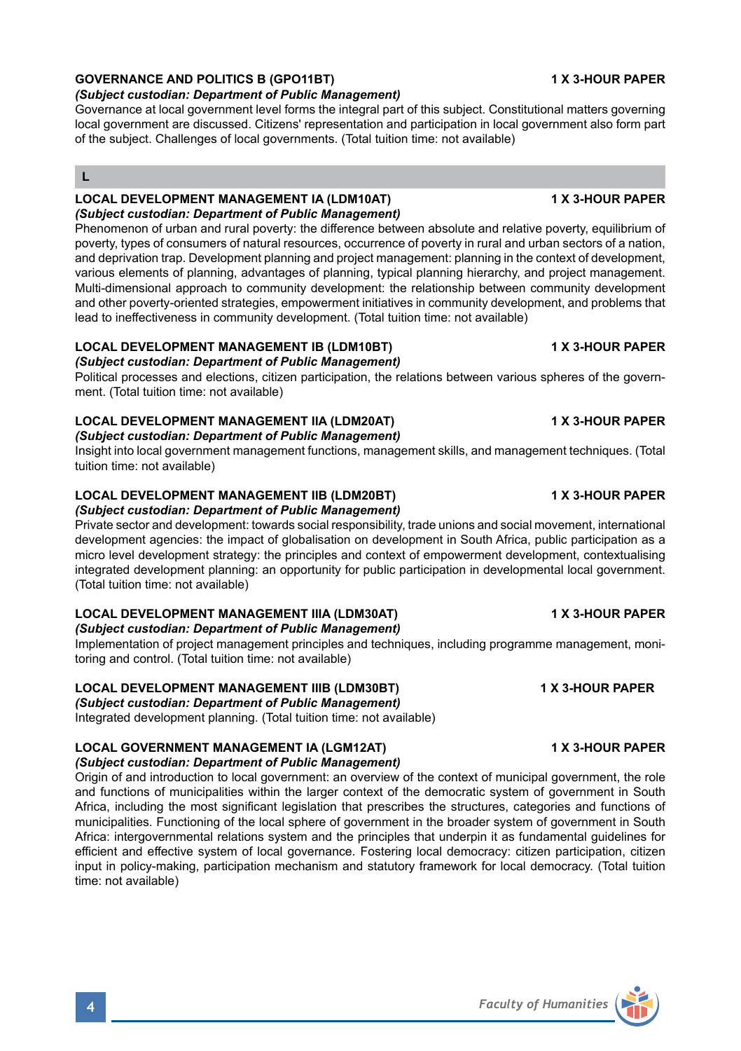### *(Subject custodian: Department of Public Management)*

Governance at local government level forms the integral part of this subject. Constitutional matters governing local government are discussed. Citizens' representation and participation in local government also form part of the subject. Challenges of local governments. (Total tuition time: not available)

# **L**

### **LOCAL DEVELOPMENT MANAGEMENT IA (LDM10AT) 1 X 3-HOUR PAPER** *(Subject custodian: Department of Public Management)*

Phenomenon of urban and rural poverty: the difference between absolute and relative poverty, equilibrium of poverty, types of consumers of natural resources, occurrence of poverty in rural and urban sectors of a nation, and deprivation trap. Development planning and project management: planning in the context of development, various elements of planning, advantages of planning, typical planning hierarchy, and project management. Multi-dimensional approach to community development: the relationship between community development and other poverty-oriented strategies, empowerment initiatives in community development, and problems that lead to ineffectiveness in community development. (Total tuition time: not available)

### **LOCAL DEVELOPMENT MANAGEMENT IB (LDM10BT) 1 X 3-HOUR PAPER** *(Subject custodian: Department of Public Management)*

Political processes and elections, citizen participation, the relations between various spheres of the government. (Total tuition time: not available)

### **LOCAL DEVELOPMENT MANAGEMENT IIA (LDM20AT) 1 X 3-HOUR PAPER**

*(Subject custodian: Department of Public Management)*

Insight into local government management functions, management skills, and management techniques. (Total tuition time: not available)

### **LOCAL DEVELOPMENT MANAGEMENT IIB (LDM20BT) 1 X 3-HOUR PAPER** *(Subject custodian: Department of Public Management)*

Private sector and development: towards social responsibility, trade unions and social movement, international development agencies: the impact of globalisation on development in South Africa, public participation as a micro level development strategy: the principles and context of empowerment development, contextualising integrated development planning: an opportunity for public participation in developmental local government. (Total tuition time: not available)

# **LOCAL DEVELOPMENT MANAGEMENT IIIA (LDM30AT) 1 X 3-HOUR PAPER**

*(Subject custodian: Department of Public Management)*

Implementation of project management principles and techniques, including programme management, monitoring and control. (Total tuition time: not available)

# **LOCAL DEVELOPMENT MANAGEMENT IIIB (LDM30BT) 1 X 3-HOUR PAPER**

*(Subject custodian: Department of Public Management)*

Integrated development planning. (Total tuition time: not available)

### **LOCAL GOVERNMENT MANAGEMENT IA (LGM12AT) 1 X 3-HOUR PAPER** *(Subject custodian: Department of Public Management)*

Origin of and introduction to local government: an overview of the context of municipal government, the role and functions of municipalities within the larger context of the democratic system of government in South Africa, including the most significant legislation that prescribes the structures, categories and functions of municipalities. Functioning of the local sphere of government in the broader system of government in South Africa: intergovernmental relations system and the principles that underpin it as fundamental guidelines for efficient and effective system of local governance. Fostering local democracy: citizen participation, citizen input in policy-making, participation mechanism and statutory framework for local democracy. (Total tuition time: not available)

### **GOVERNANCE AND POLITICS B (GPO11BT) 1 X 3-HOUR PAPER**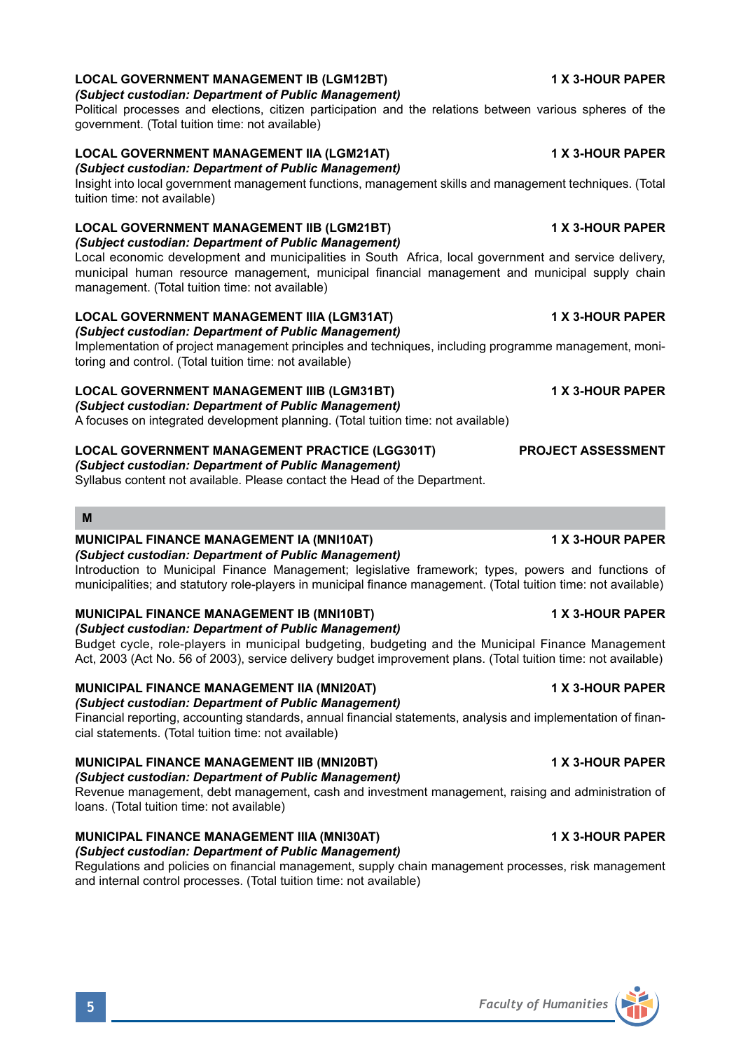# **LOCAL GOVERNMENT MANAGEMENT IB (LGM12BT) 1 X 3-HOUR PAPER**

*(Subject custodian: Department of Public Management)*

Political processes and elections, citizen participation and the relations between various spheres of the government. (Total tuition time: not available)

# **LOCAL GOVERNMENT MANAGEMENT IIA (LGM21AT) 1 X 3-HOUR PAPER**

*(Subject custodian: Department of Public Management)*

Insight into local government management functions, management skills and management techniques. (Total tuition time: not available)

# **LOCAL GOVERNMENT MANAGEMENT IIB (LGM21BT) 1 X 3-HOUR PAPER**

*(Subject custodian: Department of Public Management)*

Local economic development and municipalities in South Africa, local government and service delivery, municipal human resource management, municipal financial management and municipal supply chain management. (Total tuition time: not available)

# **LOCAL GOVERNMENT MANAGEMENT IIIA (LGM31AT) 1 X 3-HOUR PAPER**

*(Subject custodian: Department of Public Management)*

Implementation of project management principles and techniques, including programme management, monitoring and control. (Total tuition time: not available)

# **LOCAL GOVERNMENT MANAGEMENT IIIB (LGM31BT) 1 X 3-HOUR PAPER**

*(Subject custodian: Department of Public Management)*

A focuses on integrated development planning. (Total tuition time: not available)

# **LOCAL GOVERNMENT MANAGEMENT PRACTICE (LGG301T) PROJECT ASSESSMENT**

*(Subject custodian: Department of Public Management)*

Syllabus content not available. Please contact the Head of the Department.

### **M**

### **MUNICIPAL FINANCE MANAGEMENT IA (MNI10AT) 1 X 3-HOUR PAPER**

*(Subject custodian: Department of Public Management)*

Introduction to Municipal Finance Management; legislative framework; types, powers and functions of municipalities; and statutory role-players in municipal finance management. (Total tuition time: not available)

### **MUNICIPAL FINANCE MANAGEMENT IB (MNI10BT) 1 X 3-HOUR PAPER** *(Subject custodian: Department of Public Management)*

Budget cycle, role-players in municipal budgeting, budgeting and the Municipal Finance Management Act, 2003 (Act No. 56 of 2003), service delivery budget improvement plans. (Total tuition time: not available)

# **MUNICIPAL FINANCE MANAGEMENT IIA (MNI20AT) 1 X 3-HOUR PAPER**

# *(Subject custodian: Department of Public Management)*

Financial reporting, accounting standards, annual financial statements, analysis and implementation of financial statements. (Total tuition time: not available)

# **MUNICIPAL FINANCE MANAGEMENT IIB (MNI20BT) 1 X 3-HOUR PAPER**

### *(Subject custodian: Department of Public Management)*

Revenue management, debt management, cash and investment management, raising and administration of loans. (Total tuition time: not available)

### **MUNICIPAL FINANCE MANAGEMENT IIIA (MNI30AT) 1 X 3-HOUR PAPER** *(Subject custodian: Department of Public Management)*

Regulations and policies on financial management, supply chain management processes, risk management and internal control processes. (Total tuition time: not available)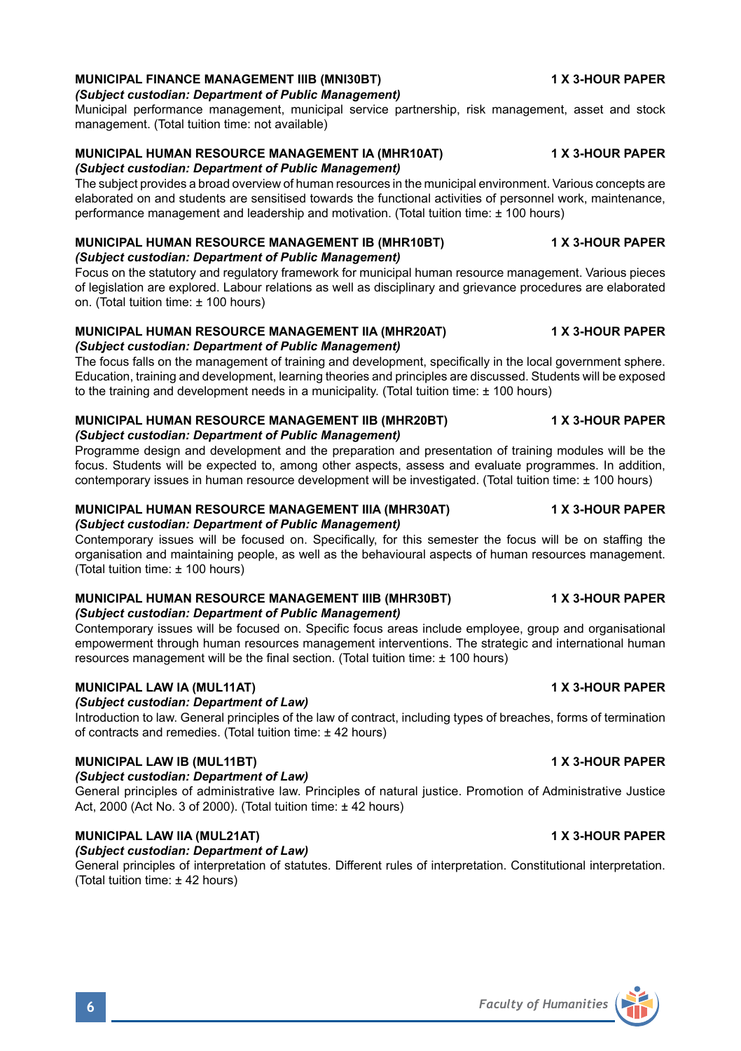### **MUNICIPAL FINANCE MANAGEMENT IIIB (MNI30BT) 1 X 3-HOUR PAPER** *(Subject custodian: Department of Public Management)*

Municipal performance management, municipal service partnership, risk management, asset and stock management. (Total tuition time: not available)

### **MUNICIPAL HUMAN RESOURCE MANAGEMENT IA (MHR10AT) 1 X 3-HOUR PAPER** *(Subject custodian: Department of Public Management)*

The subject provides a broad overview of human resources in the municipal environment. Various concepts are elaborated on and students are sensitised towards the functional activities of personnel work, maintenance, performance management and leadership and motivation. (Total tuition time: ± 100 hours)

### **MUNICIPAL HUMAN RESOURCE MANAGEMENT IB (MHR10BT) 1 X 3-HOUR PAPER** *(Subject custodian: Department of Public Management)*

Focus on the statutory and regulatory framework for municipal human resource management. Various pieces of legislation are explored. Labour relations as well as disciplinary and grievance procedures are elaborated on. (Total tuition time: ± 100 hours)

### **MUNICIPAL HUMAN RESOURCE MANAGEMENT IIA (MHR20AT) 1 X 3-HOUR PAPER** *(Subject custodian: Department of Public Management)*

The focus falls on the management of training and development, specifically in the local government sphere. Education, training and development, learning theories and principles are discussed. Students will be exposed to the training and development needs in a municipality. (Total tuition time: ± 100 hours)

### **MUNICIPAL HUMAN RESOURCE MANAGEMENT IIB (MHR20BT) 1 X 3-HOUR PAPER** *(Subject custodian: Department of Public Management)*

Programme design and development and the preparation and presentation of training modules will be the focus. Students will be expected to, among other aspects, assess and evaluate programmes. In addition, contemporary issues in human resource development will be investigated. (Total tuition time: ± 100 hours)

### **MUNICIPAL HUMAN RESOURCE MANAGEMENT IIIA (MHR30AT) 1 X 3-HOUR PAPER** *(Subject custodian: Department of Public Management)*

Contemporary issues will be focused on. Specifically, for this semester the focus will be on staffing the organisation and maintaining people, as well as the behavioural aspects of human resources management. (Total tuition time: ± 100 hours)

# **MUNICIPAL HUMAN RESOURCE MANAGEMENT IIIB (MHR30BT) 1 X 3-HOUR PAPER**

*(Subject custodian: Department of Public Management)* Contemporary issues will be focused on. Specific focus areas include employee, group and organisational

empowerment through human resources management interventions. The strategic and international human resources management will be the final section. (Total tuition time: ± 100 hours)

### **MUNICIPAL LAW IA (MUL11AT) 1 X 3-HOUR PAPER**

### *(Subject custodian: Department of Law)*

Introduction to law. General principles of the law of contract, including types of breaches, forms of termination of contracts and remedies. (Total tuition time: ± 42 hours)

# **MUNICIPAL LAW IB (MUL11BT) 1 X 3-HOUR PAPER**

### *(Subject custodian: Department of Law)*

General principles of administrative law. Principles of natural justice. Promotion of Administrative Justice Act, 2000 (Act No. 3 of 2000). (Total tuition time: ± 42 hours)

# **MUNICIPAL LAW IIA (MUL21AT) 1 X 3-HOUR PAPER**

*(Subject custodian: Department of Law)* General principles of interpretation of statutes. Different rules of interpretation. Constitutional interpretation. (Total tuition time: ± 42 hours)